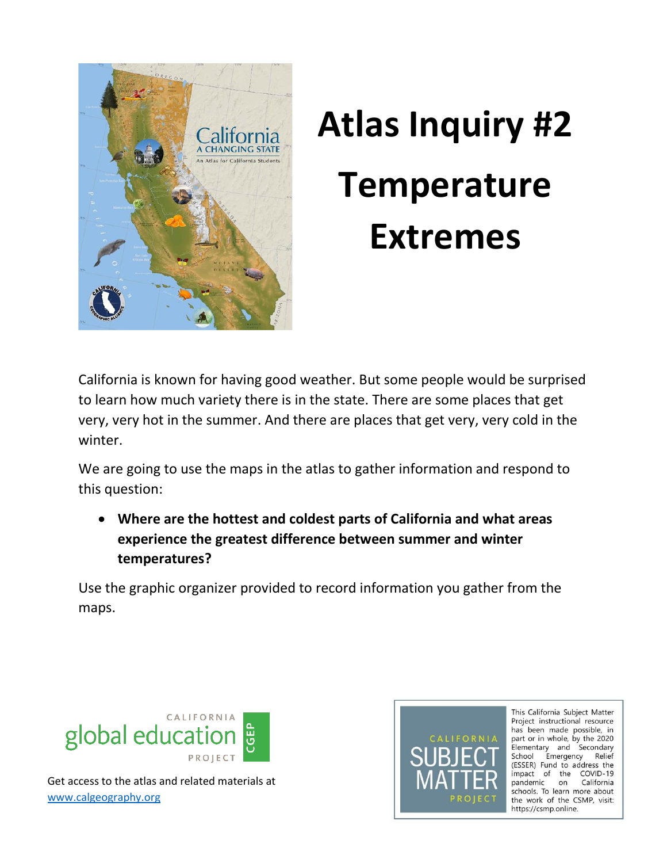

## **Atlas Inquiry #2 Temperature Extremes**

California is known for having good weather. But some people would be surprised to learn how much variety there is in the state. There are some places that get very, very hot in the summer. And there are places that get very, very cold in the winter.

We are going to use the maps in the atlas to gather information and respond to this question:

 **Where are the hottest and coldest parts of California and what areas experience the greatest difference between summer and winter temperatures?** 

Use the graphic organizer provided to record information you gather from the maps.







This California Subject Matter Project instructional resource has been made possible, in part or in whole, by the 2020 Elementary and Secondary School Emergency Relief (ESSER) Fund to address the impact of the COVID-19 pandemic on California schools. To learn more about the work of the CSMP, visit: https://csmp.online.